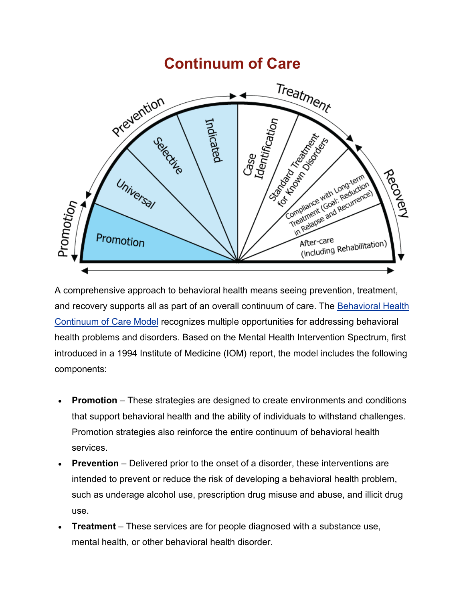# **Continuum of Care**



A comprehensive approach to behavioral health means seeing prevention, treatment, and recovery supports all as part of an overall continuum of care. The [Behavioral Health](https://www.samhsa.gov/capt/applying-strategic-prevention-framework/cultural-competence/cultural-competence-spf#cultural-competence-continuum)  [Continuum of Care](https://www.samhsa.gov/capt/applying-strategic-prevention-framework/cultural-competence/cultural-competence-spf#cultural-competence-continuum) Model recognizes multiple opportunities for addressing behavioral health problems and disorders. Based on the Mental Health Intervention Spectrum, first introduced in a 1994 Institute of Medicine (IOM) report, the model includes the following components:

- **Promotion** These strategies are designed to create environments and conditions that support behavioral health and the ability of individuals to withstand challenges. Promotion strategies also reinforce the entire continuum of behavioral health services.
- **Prevention** Delivered prior to the onset of a disorder, these interventions are intended to prevent or reduce the risk of developing a behavioral health problem, such as underage alcohol use, prescription drug misuse and abuse, and illicit drug use.
- **Treatment** These services are for people diagnosed with a substance use, mental health, or other behavioral health disorder.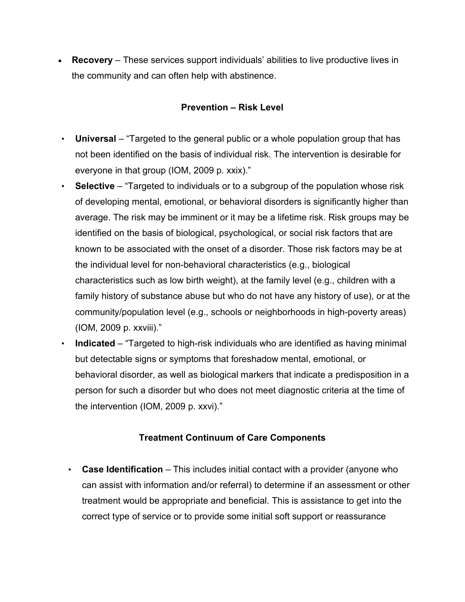• **Recovery** – These services support individuals' abilities to live productive lives in the community and can often help with abstinence.

#### **Prevention – Risk Level**

- **Universal** "Targeted to the general public or a whole population group that has not been identified on the basis of individual risk. The intervention is desirable for everyone in that group (IOM, 2009 p. xxix)."
- **Selective** "Targeted to individuals or to a subgroup of the population whose risk of developing mental, emotional, or behavioral disorders is significantly higher than average. The risk may be imminent or it may be a lifetime risk. Risk groups may be identified on the basis of biological, psychological, or social risk factors that are known to be associated with the onset of a disorder. Those risk factors may be at the individual level for non-behavioral characteristics (e.g., biological characteristics such as low birth weight), at the family level (e.g., children with a family history of substance abuse but who do not have any history of use), or at the community/population level (e.g., schools or neighborhoods in high-poverty areas) (IOM, 2009 p. xxviii)."
- **Indicated** "Targeted to high-risk individuals who are identified as having minimal but detectable signs or symptoms that foreshadow mental, emotional, or behavioral disorder, as well as biological markers that indicate a predisposition in a person for such a disorder but who does not meet diagnostic criteria at the time of the intervention (IOM, 2009 p. xxvi)."

#### **Treatment Continuum of Care Components**

• **Case Identification** – This includes initial contact with a provider (anyone who can assist with information and/or referral) to determine if an assessment or other treatment would be appropriate and beneficial. This is assistance to get into the correct type of service or to provide some initial soft support or reassurance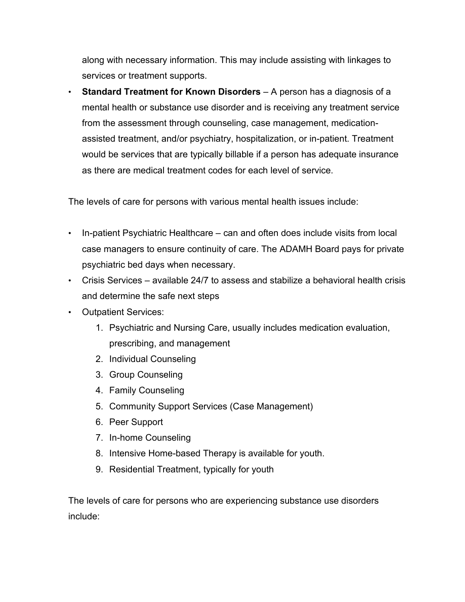along with necessary information. This may include assisting with linkages to services or treatment supports.

• **Standard Treatment for Known Disorders** – A person has a diagnosis of a mental health or substance use disorder and is receiving any treatment service from the assessment through counseling, case management, medicationassisted treatment, and/or psychiatry, hospitalization, or in-patient. Treatment would be services that are typically billable if a person has adequate insurance as there are medical treatment codes for each level of service.

The levels of care for persons with various mental health issues include:

- In-patient Psychiatric Healthcare can and often does include visits from local case managers to ensure continuity of care. The ADAMH Board pays for private psychiatric bed days when necessary.
- Crisis Services available 24/7 to assess and stabilize a behavioral health crisis and determine the safe next steps
- Outpatient Services:
	- 1. Psychiatric and Nursing Care, usually includes medication evaluation, prescribing, and management
	- 2. Individual Counseling
	- 3. Group Counseling
	- 4. Family Counseling
	- 5. Community Support Services (Case Management)
	- 6. Peer Support
	- 7. In-home Counseling
	- 8. Intensive Home-based Therapy is available for youth.
	- 9. Residential Treatment, typically for youth

The levels of care for persons who are experiencing substance use disorders include: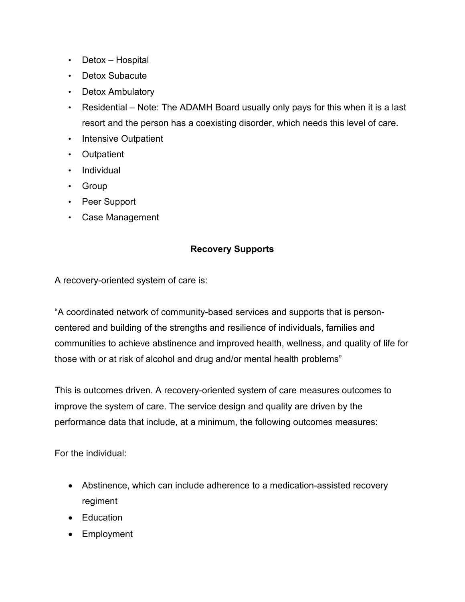- Detox Hospital
- Detox Subacute
- Detox Ambulatory
- Residential Note: The ADAMH Board usually only pays for this when it is a last resort and the person has a coexisting disorder, which needs this level of care.
- Intensive Outpatient
- Outpatient
- Individual
- Group
- Peer Support
- Case Management

#### **Recovery Supports**

A recovery-oriented system of care is:

"A coordinated network of community-based services and supports that is personcentered and building of the strengths and resilience of individuals, families and communities to achieve abstinence and improved health, wellness, and quality of life for those with or at risk of alcohol and drug and/or mental health problems"

This is outcomes driven. A recovery-oriented system of care measures outcomes to improve the system of care. The service design and quality are driven by the performance data that include, at a minimum, the following outcomes measures:

For the individual:

- Abstinence, which can include adherence to a medication-assisted recovery regiment
- Education
- Employment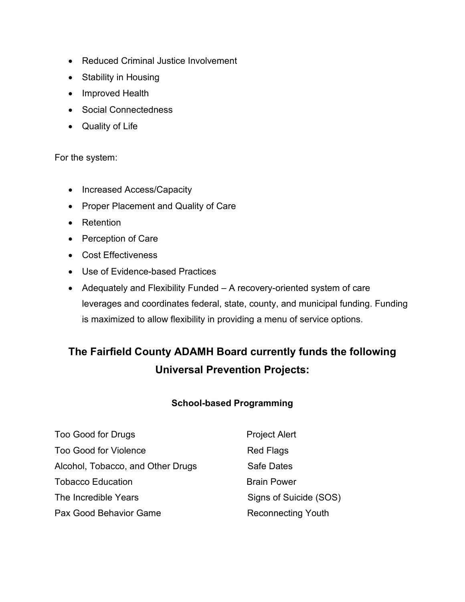- Reduced Criminal Justice Involvement
- Stability in Housing
- Improved Health
- Social Connectedness
- Quality of Life

For the system:

- Increased Access/Capacity
- Proper Placement and Quality of Care
- Retention
- Perception of Care
- Cost Effectiveness
- Use of Evidence-based Practices
- Adequately and Flexibility Funded A recovery-oriented system of care leverages and coordinates federal, state, county, and municipal funding. Funding is maximized to allow flexibility in providing a menu of service options.

## **The Fairfield County ADAMH Board currently funds the following Universal Prevention Projects:**

#### **School-based Programming**

| Too Good for Drugs                | <b>Project Alert</b>      |
|-----------------------------------|---------------------------|
| <b>Too Good for Violence</b>      | <b>Red Flags</b>          |
| Alcohol, Tobacco, and Other Drugs | <b>Safe Dates</b>         |
| Tobacco Education                 | <b>Brain Power</b>        |
| The Incredible Years              | Signs of Suicide (SOS)    |
| Pax Good Behavior Game            | <b>Reconnecting Youth</b> |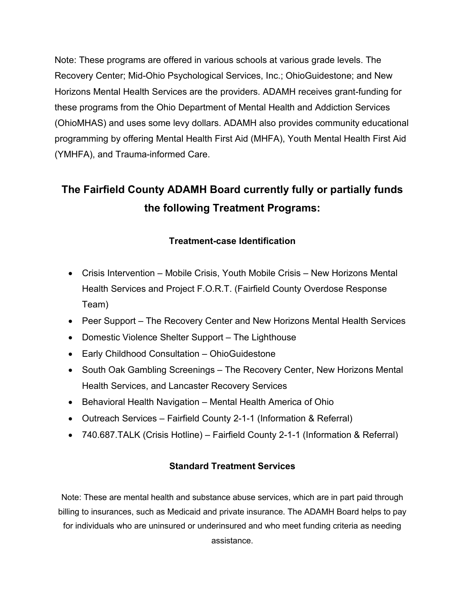Note: These programs are offered in various schools at various grade levels. The Recovery Center; Mid-Ohio Psychological Services, Inc.; OhioGuidestone; and New Horizons Mental Health Services are the providers. ADAMH receives grant-funding for these programs from the Ohio Department of Mental Health and Addiction Services (OhioMHAS) and uses some levy dollars. ADAMH also provides community educational programming by offering Mental Health First Aid (MHFA), Youth Mental Health First Aid (YMHFA), and Trauma-informed Care.

## **The Fairfield County ADAMH Board currently fully or partially funds the following Treatment Programs:**

### **Treatment-case Identification**

- Crisis Intervention Mobile Crisis, Youth Mobile Crisis New Horizons Mental Health Services and Project F.O.R.T. (Fairfield County Overdose Response Team)
- Peer Support The Recovery Center and New Horizons Mental Health Services
- Domestic Violence Shelter Support The Lighthouse
- Early Childhood Consultation OhioGuidestone
- South Oak Gambling Screenings The Recovery Center, New Horizons Mental Health Services, and Lancaster Recovery Services
- Behavioral Health Navigation Mental Health America of Ohio
- Outreach Services Fairfield County 2-1-1 (Information & Referral)
- 740.687.TALK (Crisis Hotline) Fairfield County 2-1-1 (Information & Referral)

#### **Standard Treatment Services**

Note: These are mental health and substance abuse services, which are in part paid through billing to insurances, such as Medicaid and private insurance. The ADAMH Board helps to pay for individuals who are uninsured or underinsured and who meet funding criteria as needing assistance.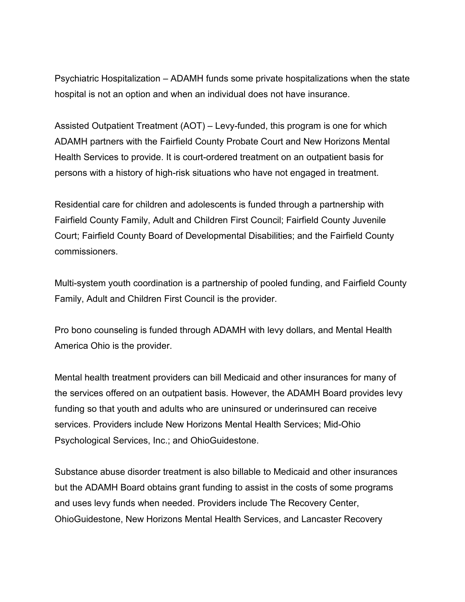Psychiatric Hospitalization – ADAMH funds some private hospitalizations when the state hospital is not an option and when an individual does not have insurance.

Assisted Outpatient Treatment (AOT) – Levy-funded, this program is one for which ADAMH partners with the Fairfield County Probate Court and New Horizons Mental Health Services to provide. It is court-ordered treatment on an outpatient basis for persons with a history of high-risk situations who have not engaged in treatment.

Residential care for children and adolescents is funded through a partnership with Fairfield County Family, Adult and Children First Council; Fairfield County Juvenile Court; Fairfield County Board of Developmental Disabilities; and the Fairfield County commissioners.

Multi-system youth coordination is a partnership of pooled funding, and Fairfield County Family, Adult and Children First Council is the provider.

Pro bono counseling is funded through ADAMH with levy dollars, and Mental Health America Ohio is the provider.

Mental health treatment providers can bill Medicaid and other insurances for many of the services offered on an outpatient basis. However, the ADAMH Board provides levy funding so that youth and adults who are uninsured or underinsured can receive services. Providers include New Horizons Mental Health Services; Mid-Ohio Psychological Services, Inc.; and OhioGuidestone.

Substance abuse disorder treatment is also billable to Medicaid and other insurances but the ADAMH Board obtains grant funding to assist in the costs of some programs and uses levy funds when needed. Providers include The Recovery Center, OhioGuidestone, New Horizons Mental Health Services, and Lancaster Recovery